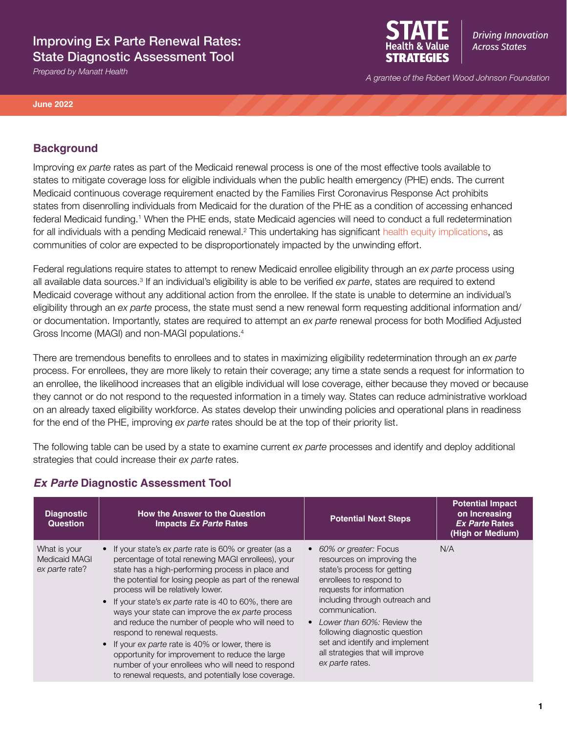# Improving Ex Parte Renewal Rates: State Diagnostic Assessment Tool



**Driving Innovation Across States** 

*A grantee of the Robert Wood Johnson Foundation Prepared by Manatt Health*

#### **June 2022**

### **Background**

Improving *ex parte* rates as part of the Medicaid renewal process is one of the most effective tools available to states to mitigate coverage loss for eligible individuals when the public health emergency (PHE) ends. The current Medicaid continuous coverage requirement enacted by the Families First Coronavirus Response Act prohibits states from disenrolling individuals from Medicaid for the duration of the PHE as a condition of accessing enhanced federal Medicaid funding.1 When the PHE ends, state Medicaid agencies will need to conduct a full redetermination for all individuals with a pending Medicaid renewal.<sup>2</sup> This undertaking has significant [health equity implications,](https://www.shvs.org/the-end-of-the-covid-public-health-emergency-potential-health-equity-implications-of-ending-medicaid-continuous-coverage/) as communities of color are expected to be disproportionately impacted by the unwinding effort.

Federal regulations require states to attempt to renew Medicaid enrollee eligibility through an *ex parte* process using all available data sources.<sup>3</sup> If an individual's eligibility is able to be verified *ex parte*, states are required to extend Medicaid coverage without any additional action from the enrollee. If the state is unable to determine an individual's eligibility through an *ex parte* process, the state must send a new renewal form requesting additional information and/ or documentation. Importantly, states are required to attempt an *ex parte* renewal process for both Modified Adjusted Gross Income (MAGI) and non-MAGI populations.4

There are tremendous benefits to enrollees and to states in maximizing eligibility redetermination through an *ex parte* process. For enrollees, they are more likely to retain their coverage; any time a state sends a request for information to an enrollee, the likelihood increases that an eligible individual will lose coverage, either because they moved or because they cannot or do not respond to the requested information in a timely way. States can reduce administrative workload on an already taxed eligibility workforce. As states develop their unwinding policies and operational plans in readiness for the end of the PHE, improving *ex parte* rates should be at the top of their priority list.

The following table can be used by a state to examine current *ex parte* processes and identify and deploy additional strategies that could increase their *ex parte* rates.

| <b>Diagnostic</b><br><b>Question</b>            | <b>How the Answer to the Question</b><br><b>Impacts Ex Parte Rates</b>                                                                                                                                                                                                                                                                                                                                                                                                                                                                                                                                                                                                                | <b>Potential Next Steps</b>                                                                                                                                                                                                                                                                                                                           | <b>Potential Impact</b><br>on Increasing<br><b>Ex Parte Rates</b><br>(High or Medium) |
|-------------------------------------------------|---------------------------------------------------------------------------------------------------------------------------------------------------------------------------------------------------------------------------------------------------------------------------------------------------------------------------------------------------------------------------------------------------------------------------------------------------------------------------------------------------------------------------------------------------------------------------------------------------------------------------------------------------------------------------------------|-------------------------------------------------------------------------------------------------------------------------------------------------------------------------------------------------------------------------------------------------------------------------------------------------------------------------------------------------------|---------------------------------------------------------------------------------------|
| What is your<br>Medicaid MAGI<br>ex parte rate? | • If your state's ex parte rate is 60% or greater (as a<br>percentage of total renewing MAGI enrollees), your<br>state has a high-performing process in place and<br>the potential for losing people as part of the renewal<br>process will be relatively lower.<br>• If your state's ex parte rate is 40 to 60%, there are<br>ways your state can improve the ex parte process<br>and reduce the number of people who will need to<br>respond to renewal requests.<br>If your ex parte rate is 40% or lower, there is<br>opportunity for improvement to reduce the large<br>number of your enrollees who will need to respond<br>to renewal requests, and potentially lose coverage. | 60% or greater: Focus<br>resources on improving the<br>state's process for getting<br>enrollees to respond to<br>requests for information<br>including through outreach and<br>communication.<br>Lower than 60%; Review the<br>following diagnostic question<br>set and identify and implement<br>all strategies that will improve<br>ex parte rates. | N/A                                                                                   |

## *Ex Parte* **Diagnostic Assessment Tool**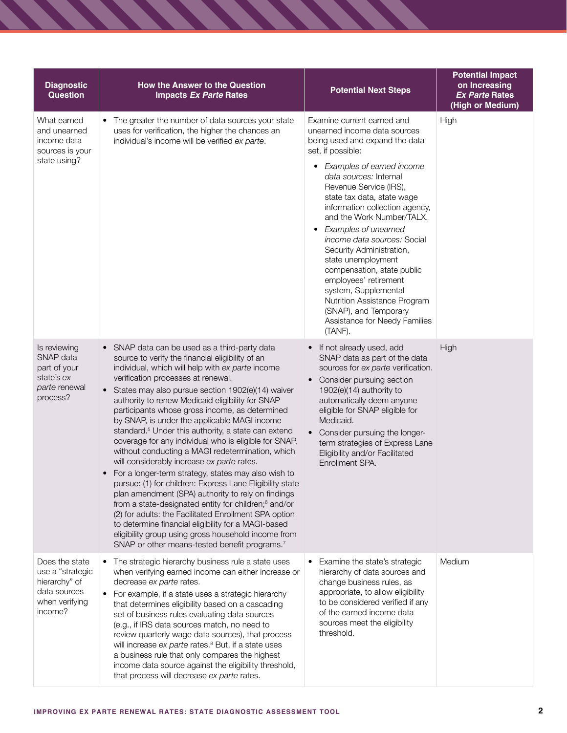| <b>Diagnostic</b><br><b>Question</b>                                                             | How the Answer to the Question<br><b>Impacts Ex Parte Rates</b>                                                                                                                                                                                                                                                                                                                                                                                                                                                                                                                                                                                                                                                                                                                                                                                                                                                                                                                                                                                                                                                                    | <b>Potential Next Steps</b>                                                                                                                                                                                                                                                                                                                                                                                                                                                                                                                                                                         | <b>Potential Impact</b><br>on Increasing<br><b>Ex Parte Rates</b><br>(High or Medium) |
|--------------------------------------------------------------------------------------------------|------------------------------------------------------------------------------------------------------------------------------------------------------------------------------------------------------------------------------------------------------------------------------------------------------------------------------------------------------------------------------------------------------------------------------------------------------------------------------------------------------------------------------------------------------------------------------------------------------------------------------------------------------------------------------------------------------------------------------------------------------------------------------------------------------------------------------------------------------------------------------------------------------------------------------------------------------------------------------------------------------------------------------------------------------------------------------------------------------------------------------------|-----------------------------------------------------------------------------------------------------------------------------------------------------------------------------------------------------------------------------------------------------------------------------------------------------------------------------------------------------------------------------------------------------------------------------------------------------------------------------------------------------------------------------------------------------------------------------------------------------|---------------------------------------------------------------------------------------|
| What earned<br>and unearned<br>income data<br>sources is your<br>state using?                    | • The greater the number of data sources your state<br>uses for verification, the higher the chances an<br>individual's income will be verified ex parte.                                                                                                                                                                                                                                                                                                                                                                                                                                                                                                                                                                                                                                                                                                                                                                                                                                                                                                                                                                          | Examine current earned and<br>unearned income data sources<br>being used and expand the data<br>set, if possible:<br>• Examples of earned income<br>data sources: Internal<br>Revenue Service (IRS),<br>state tax data, state wage<br>information collection agency,<br>and the Work Number/TALX.<br>Examples of unearned<br>٠<br>income data sources: Social<br>Security Administration,<br>state unemployment<br>compensation, state public<br>employees' retirement<br>system, Supplemental<br>Nutrition Assistance Program<br>(SNAP), and Temporary<br>Assistance for Needy Families<br>(TANF). | High                                                                                  |
| Is reviewing<br>SNAP data<br>part of your<br>state's ex<br>parte renewal<br>process?             | • SNAP data can be used as a third-party data<br>source to verify the financial eligibility of an<br>individual, which will help with ex parte income<br>verification processes at renewal.<br>States may also pursue section 1902(e)(14) waiver<br>$\bullet$<br>authority to renew Medicaid eligibility for SNAP<br>participants whose gross income, as determined<br>by SNAP, is under the applicable MAGI income<br>standard. <sup>5</sup> Under this authority, a state can extend<br>coverage for any individual who is eligible for SNAP,<br>without conducting a MAGI redetermination, which<br>will considerably increase ex parte rates.<br>For a longer-term strategy, states may also wish to<br>pursue: (1) for children: Express Lane Eligibility state<br>plan amendment (SPA) authority to rely on findings<br>from a state-designated entity for children; <sup>6</sup> and/or<br>(2) for adults: the Facilitated Enrollment SPA option<br>to determine financial eligibility for a MAGI-based<br>eligibility group using gross household income from<br>SNAP or other means-tested benefit programs. <sup>7</sup> | If not already used, add<br>$\bullet$<br>SNAP data as part of the data<br>sources for ex parte verification.<br>Consider pursuing section<br>1902(e)(14) authority to<br>automatically deem anyone<br>eligible for SNAP eligible for<br>Medicaid.<br>Consider pursuing the longer-<br>term strategies of Express Lane<br>Eligibility and/or Facilitated<br>Enrollment SPA.                                                                                                                                                                                                                          | High                                                                                  |
| Does the state<br>use a "strategic<br>hierarchy" of<br>data sources<br>when verifying<br>income? | • The strategic hierarchy business rule a state uses<br>when verifying earned income can either increase or<br>decrease ex parte rates.<br>• For example, if a state uses a strategic hierarchy<br>that determines eligibility based on a cascading<br>set of business rules evaluating data sources<br>(e.g., if IRS data sources match, no need to<br>review quarterly wage data sources), that process<br>will increase ex parte rates. <sup>8</sup> But, if a state uses<br>a business rule that only compares the highest<br>income data source against the eligibility threshold,<br>that process will decrease ex parte rates.                                                                                                                                                                                                                                                                                                                                                                                                                                                                                              | Examine the state's strategic<br>hierarchy of data sources and<br>change business rules, as<br>appropriate, to allow eligibility<br>to be considered verified if any<br>of the earned income data<br>sources meet the eligibility<br>threshold.                                                                                                                                                                                                                                                                                                                                                     | Medium                                                                                |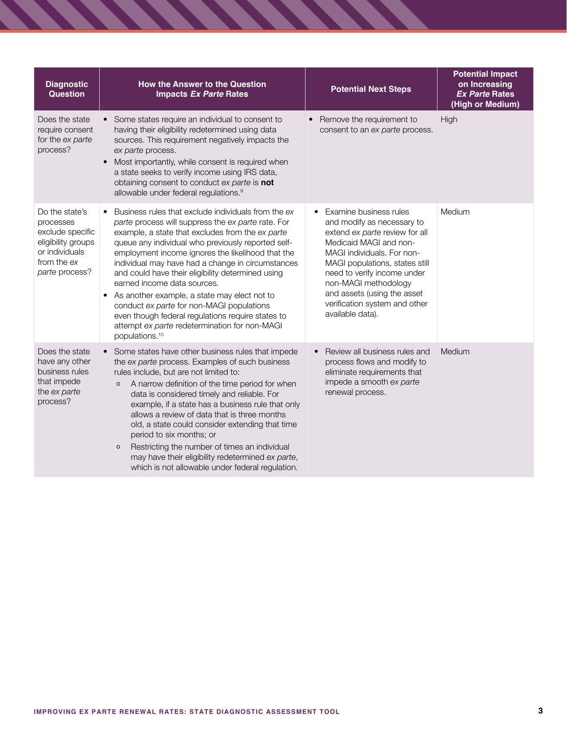| <b>Diagnostic</b><br><b>Question</b>                                                                                     | <b>How the Answer to the Question</b><br><b>Impacts Ex Parte Rates</b>                                                                                                                                                                                                                                                                                                                                                                                                                                                                                                                                                                                           | <b>Potential Next Steps</b>                                                                                                                                                                                                                                                                                                              | <b>Potential Impact</b><br>on Increasing<br><b>Ex Parte Rates</b><br>(High or Medium) |
|--------------------------------------------------------------------------------------------------------------------------|------------------------------------------------------------------------------------------------------------------------------------------------------------------------------------------------------------------------------------------------------------------------------------------------------------------------------------------------------------------------------------------------------------------------------------------------------------------------------------------------------------------------------------------------------------------------------------------------------------------------------------------------------------------|------------------------------------------------------------------------------------------------------------------------------------------------------------------------------------------------------------------------------------------------------------------------------------------------------------------------------------------|---------------------------------------------------------------------------------------|
| Does the state<br>require consent<br>for the ex parte<br>process?                                                        | Some states require an individual to consent to<br>having their eligibility redetermined using data<br>sources. This requirement negatively impacts the<br>ex parte process.<br>Most importantly, while consent is required when<br>$\bullet$<br>a state seeks to verify income using IRS data,<br>obtaining consent to conduct ex parte is not<br>allowable under federal regulations. <sup>9</sup>                                                                                                                                                                                                                                                             | Remove the requirement to<br>consent to an ex parte process.                                                                                                                                                                                                                                                                             | High                                                                                  |
| Do the state's<br>processes<br>exclude specific<br>eligibility groups<br>or individuals<br>from the ex<br>parte process? | Business rules that exclude individuals from the ex-<br>$\bullet$<br>parte process will suppress the ex parte rate. For<br>example, a state that excludes from the ex parte<br>queue any individual who previously reported self-<br>employment income ignores the likelihood that the<br>individual may have had a change in circumstances<br>and could have their eligibility determined using<br>earned income data sources.<br>As another example, a state may elect not to<br>conduct ex parte for non-MAGI populations<br>even though federal regulations require states to<br>attempt ex parte redetermination for non-MAGI<br>populations. <sup>10</sup> | Examine business rules<br>$\bullet$<br>and modify as necessary to<br>extend ex parte review for all<br>Medicaid MAGI and non-<br>MAGI individuals. For non-<br>MAGI populations, states still<br>need to verify income under<br>non-MAGI methodology<br>and assets (using the asset<br>verification system and other<br>available data). | Medium                                                                                |
| Does the state<br>have any other<br>business rules<br>that impede<br>the ex parte<br>process?                            | Some states have other business rules that impede<br>$\bullet$<br>the ex parte process. Examples of such business<br>rules include, but are not limited to:<br>A narrow definition of the time period for when<br>$\circ$<br>data is considered timely and reliable. For<br>example, if a state has a business rule that only<br>allows a review of data that is three months<br>old, a state could consider extending that time<br>period to six months; or<br>Restricting the number of times an individual<br>$\circ$<br>may have their eligibility redetermined ex parte,<br>which is not allowable under federal regulation.                                | Review all business rules and<br>process flows and modify to<br>eliminate requirements that<br>impede a smooth ex parte<br>renewal process.                                                                                                                                                                                              | Medium                                                                                |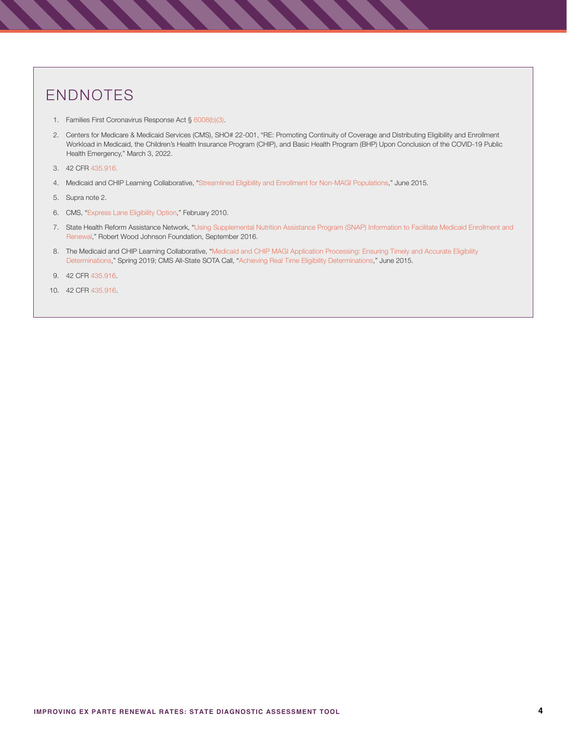# ENDNOTES

- 1. Families First Coronavirus Response Act § [6008\(b\)\(3\).](https://www.congress.gov/bill/116th-congress/house-bill/6201)
- 2. Centers for Medicare & Medicaid Services (CMS), SHO# 22-001, "RE: Promoting Continuity of Coverage and Distributing Eligibility and Enrollment Workload in Medicaid, the Children's Health Insurance Program (CHIP), and Basic Health Program (BHP) Upon Conclusion of the COVID-19 Public Health Emergency," March 3, 2022.
- 3. 42 CFR [435.916](https://www.ecfr.gov/current/title-42/chapter-IV/subchapter-C/part-435/subpart-J/subject-group-ECFR0717d3fdf4a090c/section-435.916).
- 4. Medicaid and CHIP Learning Collaborative, "[Streamlined Eligibility and Enrollment for Non-MAGI Populations](https://www.medicaid.gov/state-resource-center/mac-learning-collaboratives/downloads/non-magi-populations.pdf)," June 2015.
- 5. Supra note 2.
- 6. CMS, ["Express Lane Eligibility Option,](https://www.medicaid.gov/sites/default/files/Federal-Policy-Guidance/downloads/SHO10003.PDF)" February 2010.
- 7. State Health Reform Assistance Network, "[Using Supplemental Nutrition Assistance Program \(SNAP\) Information to Facilitate Medicaid Enrollment and](https://www.shvs.org/wp-content/uploads/2016/09/State-Network-Manatt-Using-SNAP-Information-to-Facilitate-Medicaid-Enrollment-and-Renewal-September-2016.pdf)   [Renewal](https://www.shvs.org/wp-content/uploads/2016/09/State-Network-Manatt-Using-SNAP-Information-to-Facilitate-Medicaid-Enrollment-and-Renewal-September-2016.pdf)," Robert Wood Johnson Foundation, September 2016.
- 8. The Medicaid and CHIP Learning Collaborative, "[Medicaid and CHIP MAGI Application Processing: Ensuring Timely and Accurate Eligibility](https://www.medicaid.gov/state-resource-center/downloads/mac-learning-collaboratives/timely-accurate-eligibility.pdf)   [Determinations](https://www.medicaid.gov/state-resource-center/downloads/mac-learning-collaboratives/timely-accurate-eligibility.pdf)," Spring 2019; CMS All-State SOTA Call, ["Achieving Real Time Eligibility Determinations](https://www.medicaid.gov/state-resource-center/mac-learning-collaboratives/downloads/real-time-eligibility-determinations.pdf)," June 2015.
- 9. 42 CFR [435.916](https://www.ecfr.gov/current/title-42/chapter-IV/subchapter-C/part-435/subpart-J/subject-group-ECFR0717d3fdf4a090c/section-435.916).
- 10. 42 CFR [435.916](https://www.ecfr.gov/current/title-42/chapter-IV/subchapter-C/part-435/subpart-J/subject-group-ECFR0717d3fdf4a090c/section-435.916).